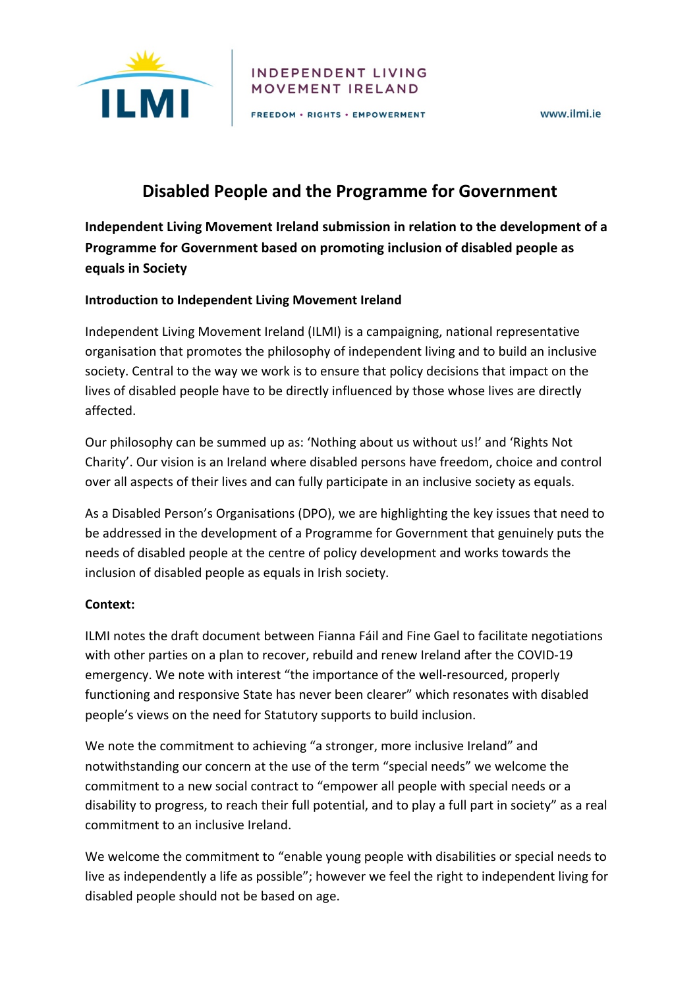

#### INDEPENDENT LIVING MOVEMENT IRELAND

FREEDOM . RIGHTS . EMPOWERMENT

www ilmi je

# **Disabled People and the Programme for Government**

**Independent Living Movement Ireland submission in relation to the development of a Programme for Government based on promoting inclusion of disabled people as equals in Society** 

#### **Introduction to Independent Living Movement Ireland**

Independent Living Movement Ireland (ILMI) is a campaigning, national representative organisation that promotes the philosophy of independent living and to build an inclusive society. Central to the way we work is to ensure that policy decisions that impact on the lives of disabled people have to be directly influenced by those whose lives are directly affected.

Our philosophy can be summed up as: 'Nothing about us without us!' and 'Rights Not Charity'. Our vision is an Ireland where disabled persons have freedom, choice and control over all aspects of their lives and can fully participate in an inclusive society as equals.

As a Disabled Person's Organisations (DPO), we are highlighting the key issues that need to be addressed in the development of a Programme for Government that genuinely puts the needs of disabled people at the centre of policy development and works towards the inclusion of disabled people as equals in Irish society.

#### **Context:**

ILMI notes the draft document between Fianna Fáil and Fine Gael to facilitate negotiations with other parties on a plan to recover, rebuild and renew Ireland after the COVID-19 emergency. We note with interest "the importance of the well-resourced, properly functioning and responsive State has never been clearer" which resonates with disabled people's views on the need for Statutory supports to build inclusion.

We note the commitment to achieving "a stronger, more inclusive Ireland" and notwithstanding our concern at the use of the term "special needs" we welcome the commitment to a new social contract to "empower all people with special needs or a disability to progress, to reach their full potential, and to play a full part in society" as a real commitment to an inclusive Ireland.

We welcome the commitment to "enable young people with disabilities or special needs to live as independently a life as possible"; however we feel the right to independent living for disabled people should not be based on age.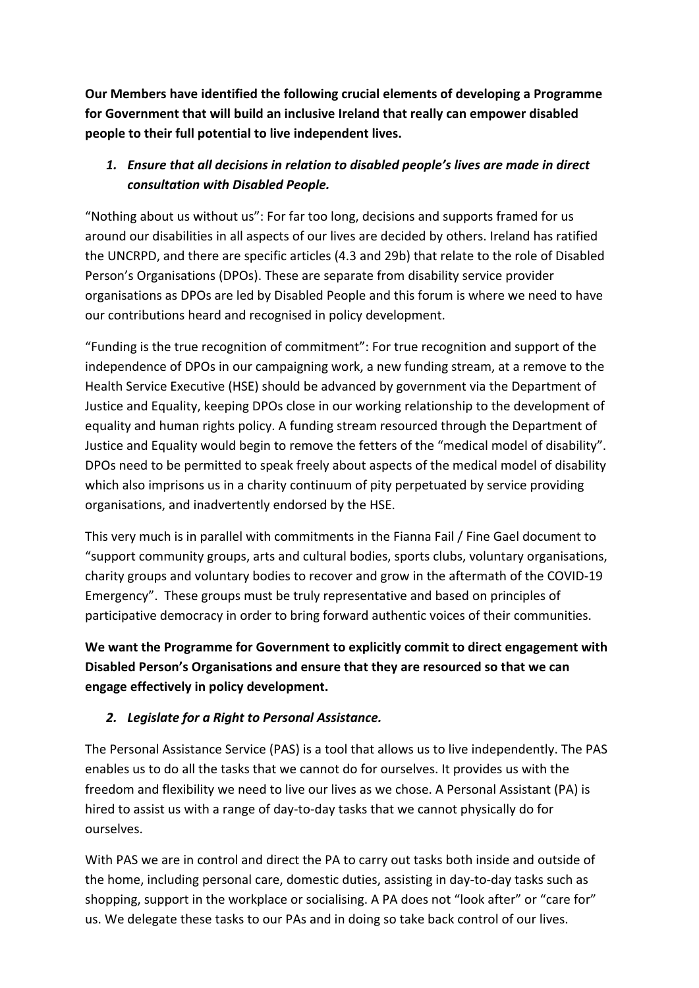**Our Members have identified the following crucial elements of developing a Programme for Government that will build an inclusive Ireland that really can empower disabled people to their full potential to live independent lives.**

## *1. Ensure that all decisions in relation to disabled people's lives are made in direct consultation with Disabled People.*

"Nothing about us without us": For far too long, decisions and supports framed for us around our disabilities in all aspects of our lives are decided by others. Ireland has ratified the UNCRPD, and there are specific articles (4.3 and 29b) that relate to the role of Disabled Person's Organisations (DPOs). These are separate from disability service provider organisations as DPOs are led by Disabled People and this forum is where we need to have our contributions heard and recognised in policy development.

"Funding is the true recognition of commitment": For true recognition and support of the independence of DPOs in our campaigning work, a new funding stream, at a remove to the Health Service Executive (HSE) should be advanced by government via the Department of Justice and Equality, keeping DPOs close in our working relationship to the development of equality and human rights policy. A funding stream resourced through the Department of Justice and Equality would begin to remove the fetters of the "medical model of disability". DPOs need to be permitted to speak freely about aspects of the medical model of disability which also imprisons us in a charity continuum of pity perpetuated by service providing organisations, and inadvertently endorsed by the HSE.

This very much is in parallel with commitments in the Fianna Fail / Fine Gael document to "support community groups, arts and cultural bodies, sports clubs, voluntary organisations, charity groups and voluntary bodies to recover and grow in the aftermath of the COVID-19 Emergency". These groups must be truly representative and based on principles of participative democracy in order to bring forward authentic voices of their communities.

**We want the Programme for Government to explicitly commit to direct engagement with Disabled Person's Organisations and ensure that they are resourced so that we can engage effectively in policy development.**

## *2. Legislate for a Right to Personal Assistance.*

The Personal Assistance Service (PAS) is a tool that allows us to live independently. The PAS enables us to do all the tasks that we cannot do for ourselves. It provides us with the freedom and flexibility we need to live our lives as we chose. A Personal Assistant (PA) is hired to assist us with a range of day-to-day tasks that we cannot physically do for ourselves.

With PAS we are in control and direct the PA to carry out tasks both inside and outside of the home, including personal care, domestic duties, assisting in day-to-day tasks such as shopping, support in the workplace or socialising. A PA does not "look after" or "care for" us. We delegate these tasks to our PAs and in doing so take back control of our lives.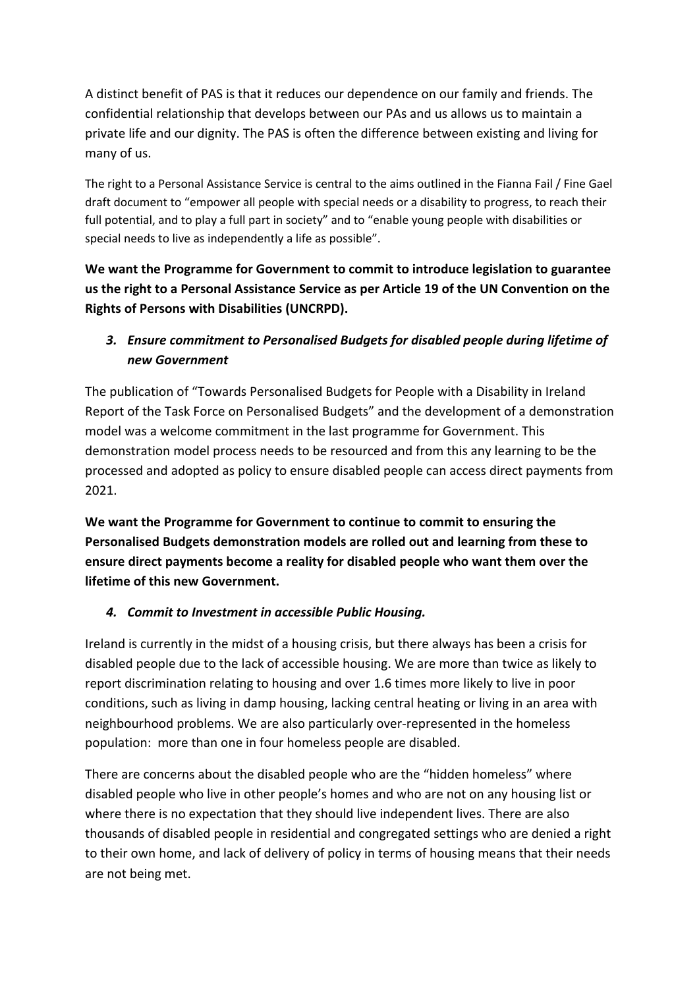A distinct benefit of PAS is that it reduces our dependence on our family and friends. The confidential relationship that develops between our PAs and us allows us to maintain a private life and our dignity. The PAS is often the difference between existing and living for many of us.

The right to a Personal Assistance Service is central to the aims outlined in the Fianna Fail / Fine Gael draft document to "empower all people with special needs or a disability to progress, to reach their full potential, and to play a full part in society" and to "enable young people with disabilities or special needs to live as independently a life as possible".

**We want the Programme for Government to commit to introduce legislation to guarantee us the right to a Personal Assistance Service as per Article 19 of the UN Convention on the Rights of Persons with Disabilities (UNCRPD).**

## *3. Ensure commitment to Personalised Budgets for disabled people during lifetime of new Government*

The publication of "Towards Personalised Budgets for People with a Disability in Ireland Report of the Task Force on Personalised Budgets" and the development of a demonstration model was a welcome commitment in the last programme for Government. This demonstration model process needs to be resourced and from this any learning to be the processed and adopted as policy to ensure disabled people can access direct payments from 2021.

**We want the Programme for Government to continue to commit to ensuring the Personalised Budgets demonstration models are rolled out and learning from these to ensure direct payments become a reality for disabled people who want them over the lifetime of this new Government.** 

#### *4. Commit to Investment in accessible Public Housing.*

Ireland is currently in the midst of a housing crisis, but there always has been a crisis for disabled people due to the lack of accessible housing. We are more than twice as likely to report discrimination relating to housing and over 1.6 times more likely to live in poor conditions, such as living in damp housing, lacking central heating or living in an area with neighbourhood problems. We are also particularly over-represented in the homeless population: more than one in four homeless people are disabled.

There are concerns about the disabled people who are the "hidden homeless" where disabled people who live in other people's homes and who are not on any housing list or where there is no expectation that they should live independent lives. There are also thousands of disabled people in residential and congregated settings who are denied a right to their own home, and lack of delivery of policy in terms of housing means that their needs are not being met.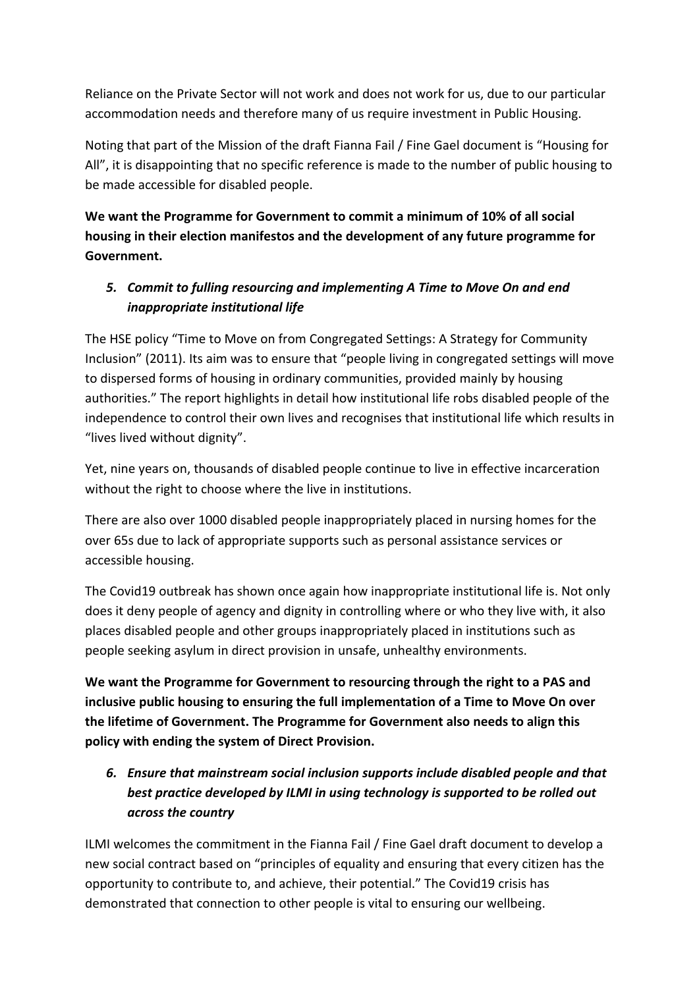Reliance on the Private Sector will not work and does not work for us, due to our particular accommodation needs and therefore many of us require investment in Public Housing.

Noting that part of the Mission of the draft Fianna Fail / Fine Gael document is "Housing for All", it is disappointing that no specific reference is made to the number of public housing to be made accessible for disabled people.

**We want the Programme for Government to commit a minimum of 10% of all social housing in their election manifestos and the development of any future programme for Government.** 

### *5. Commit to fulling resourcing and implementing A Time to Move On and end inappropriate institutional life*

The HSE policy "Time to Move on from Congregated Settings: A Strategy for Community Inclusion" (2011). Its aim was to ensure that "people living in congregated settings will move to dispersed forms of housing in ordinary communities, provided mainly by housing authorities." The report highlights in detail how institutional life robs disabled people of the independence to control their own lives and recognises that institutional life which results in "lives lived without dignity".

Yet, nine years on, thousands of disabled people continue to live in effective incarceration without the right to choose where the live in institutions.

There are also over 1000 disabled people inappropriately placed in nursing homes for the over 65s due to lack of appropriate supports such as personal assistance services or accessible housing.

The Covid19 outbreak has shown once again how inappropriate institutional life is. Not only does it deny people of agency and dignity in controlling where or who they live with, it also places disabled people and other groups inappropriately placed in institutions such as people seeking asylum in direct provision in unsafe, unhealthy environments.

**We want the Programme for Government to resourcing through the right to a PAS and inclusive public housing to ensuring the full implementation of a Time to Move On over the lifetime of Government. The Programme for Government also needs to align this policy with ending the system of Direct Provision.** 

*6. Ensure that mainstream social inclusion supports include disabled people and that best practice developed by ILMI in using technology is supported to be rolled out across the country* 

ILMI welcomes the commitment in the Fianna Fail / Fine Gael draft document to develop a new social contract based on "principles of equality and ensuring that every citizen has the opportunity to contribute to, and achieve, their potential." The Covid19 crisis has demonstrated that connection to other people is vital to ensuring our wellbeing.